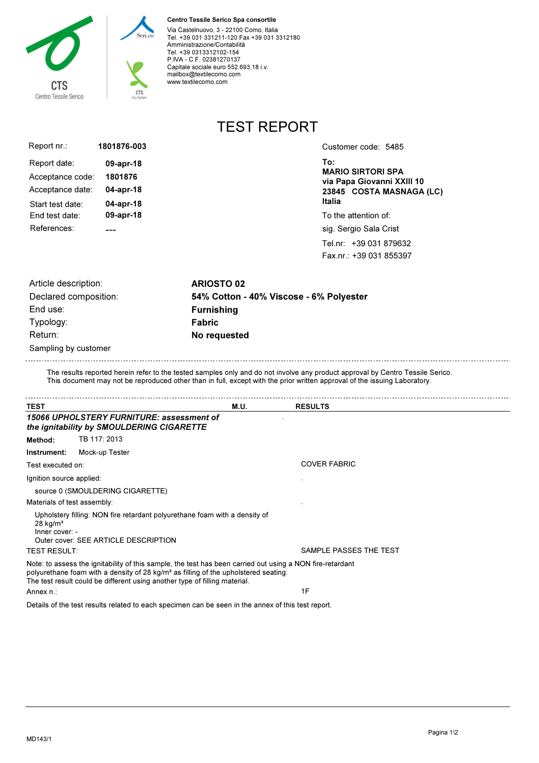

#### Centro Tessile Serico Spa consortile

Via Castelnuovo, 3 - 22100 Como, Italia Tel. +39 031 331211-120 Fax +39 031 3312180 Amministrazione/Contabilità Tel. +39 0313312102-154 P.IVA - C.F. 02381270137 Capitale sociale euro 552.693,18 i.v. mailbox@textilecomo.com www.textilecomo.com

TEST REPORT

| Report nr.:      | 1801876-003 |
|------------------|-------------|
| Report date:     | 09-apr-18   |
| Acceptance code: | 1801876     |
| Acceptance date: | 04-apr-18   |
| Start test date: | 04-apr-18   |
| End test date:   | 09-apr-18   |
| References:      |             |

Customer code: 5485

To: MARIO SIRTORI SPA via Papa Giovanni XXIII 10 23845 COSTA MASNAGA (LC) Italia

To the attention of:

sig. Sergio Sala Crist

Tel.nr: +39 031 879632 Fax.nr.: +39 031 855397

| Article description:  | <b>ARIOSTO 02</b>                       |
|-----------------------|-----------------------------------------|
| Declared composition: | 54% Cotton - 40% Viscose - 6% Polyester |
| End use:              | <b>Furnishing</b>                       |
| Typology:             | <b>Fabric</b>                           |
| Return:               | No requested                            |
| Sampling by customer  |                                         |

The results reported herein refer to the tested samples only and do not involve any product approval by Centro Tessile Serico. This document may not be reproduced other than in full, except with the prior written approval of the issuing Laboratory.

| <b>TEST</b>                              |                                                                                                                                                                                                                                                                                            | <b>M.U.</b> | <b>RESULTS</b>         |
|------------------------------------------|--------------------------------------------------------------------------------------------------------------------------------------------------------------------------------------------------------------------------------------------------------------------------------------------|-------------|------------------------|
|                                          | 15066 UPHOLSTERY FURNITURE: assessment of<br>the ignitability by SMOULDERING CIGARETTE                                                                                                                                                                                                     |             |                        |
| Method:                                  | TB 117: 2013                                                                                                                                                                                                                                                                               |             |                        |
| Instrument:                              | Mock-up Tester                                                                                                                                                                                                                                                                             |             |                        |
| Test executed on:                        |                                                                                                                                                                                                                                                                                            |             | <b>COVER FABRIC</b>    |
| Ignition source applied:                 |                                                                                                                                                                                                                                                                                            |             |                        |
|                                          | source 0 (SMOULDERING CIGARETTE)                                                                                                                                                                                                                                                           |             |                        |
| Materials of test assembly:              |                                                                                                                                                                                                                                                                                            |             |                        |
| $28$ kg/m <sup>3</sup><br>Inner cover: - | Upholstery filling: NON fire retardant polyurethane foam with a density of<br>Outer cover: SEE ARTICLE DESCRIPTION                                                                                                                                                                         |             |                        |
| <b>TEST RESULT:</b>                      |                                                                                                                                                                                                                                                                                            |             | SAMPLE PASSES THE TEST |
| Annex n.∶                                | Note: to assess the ignitability of this sample, the test has been carried out using a NON fire-retardant<br>polyurethane foam with a density of 28 kg/m <sup>3</sup> as filling of the upholstered seating.<br>The test result could be different using another type of filling material. |             | 1F                     |
|                                          |                                                                                                                                                                                                                                                                                            |             |                        |

Details of the test results related to each specimen can be seen in the annex of this test report.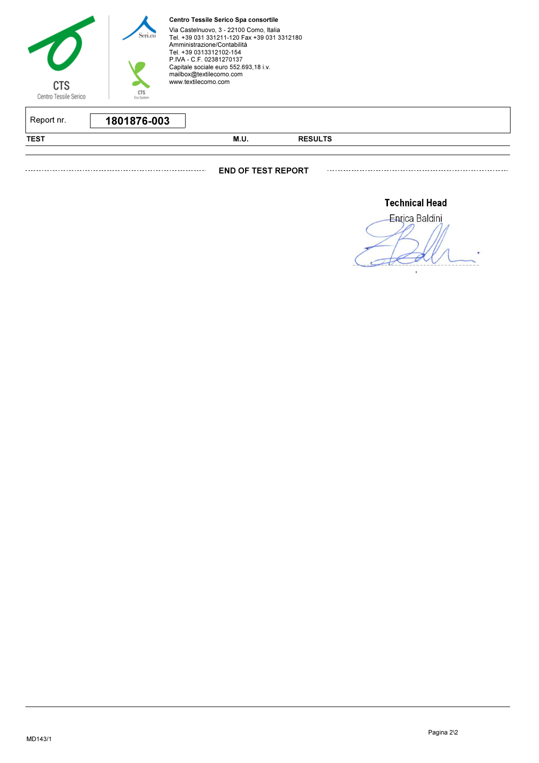

Centro Tessile Serico Spa consortile

Via Castelnuovo, 3 - 22100 Como, Italia Tel. +39 031 331211-120 Fax +39 031 3312180 Amministrazione/Contabilità Tel. +39 0313312102-154 P.IVA - C.F. 02381270137 Capitale sociale euro 552.693,18 i.v. mailbox@textilecomo.com www.textilecomo.com

| Report nr.  | 1801876-003 |      |                |  |
|-------------|-------------|------|----------------|--|
| <b>TEST</b> |             | M.U. | <b>RESULTS</b> |  |

END OF TEST REPORT

**Technical Head** 

Enrica Baldini 'n